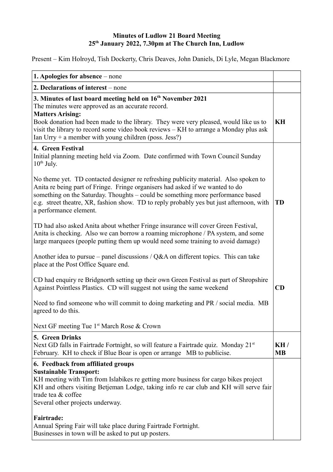## **Minutes of Ludlow 21 Board Meeting 25th January 2022, 7.30pm at The Church Inn, Ludlow**

Present – Kim Holroyd, Tish Dockerty, Chris Deaves, John Daniels, Di Lyle, Megan Blackmore

| 1. Apologies for absence - none                                                                                                                                                                                                                                                                                                                                                                                                                                                                                                                                                                                                                                                                                                                                                                                                                                                                         |                  |
|---------------------------------------------------------------------------------------------------------------------------------------------------------------------------------------------------------------------------------------------------------------------------------------------------------------------------------------------------------------------------------------------------------------------------------------------------------------------------------------------------------------------------------------------------------------------------------------------------------------------------------------------------------------------------------------------------------------------------------------------------------------------------------------------------------------------------------------------------------------------------------------------------------|------------------|
| 2. Declarations of interest – none                                                                                                                                                                                                                                                                                                                                                                                                                                                                                                                                                                                                                                                                                                                                                                                                                                                                      |                  |
| 3. Minutes of last board meeting held on 16 <sup>th</sup> November 2021<br>The minutes were approved as an accurate record.<br><b>Matters Arising:</b><br>Book donation had been made to the library. They were very pleased, would like us to<br>visit the library to record some video book reviews – KH to arrange a Monday plus ask<br>Ian Urry + a member with young children (poss. Jess?)                                                                                                                                                                                                                                                                                                                                                                                                                                                                                                        | KH               |
| 4. Green Festival<br>Initial planning meeting held via Zoom. Date confirmed with Town Council Sunday<br>$10^{th}$ July.<br>No theme yet. TD contacted designer re refreshing publicity material. Also spoken to<br>Anita re being part of Fringe. Fringe organisers had asked if we wanted to do<br>something on the Saturday. Thoughts – could be something more performance based<br>e.g. street theatre, XR, fashion show. TD to reply probably yes but just afternoon, with<br>a performance element.<br>TD had also asked Anita about whether Fringe insurance will cover Green Festival,<br>Anita is checking. Also we can borrow a roaming microphone / PA system, and some<br>large marquees (people putting them up would need some training to avoid damage)<br>Another idea to pursue – panel discussions / $Q&A$ on different topics. This can take<br>place at the Post Office Square end. | <b>TD</b>        |
| CD had enquiry re Bridgnorth setting up their own Green Festival as part of Shropshire<br>Against Pointless Plastics. CD will suggest not using the same weekend<br>Need to find someone who will commit to doing marketing and PR / social media. MB<br>agreed to do this.                                                                                                                                                                                                                                                                                                                                                                                                                                                                                                                                                                                                                             | CD               |
| Next GF meeting Tue 1 <sup>st</sup> March Rose & Crown                                                                                                                                                                                                                                                                                                                                                                                                                                                                                                                                                                                                                                                                                                                                                                                                                                                  |                  |
| <b>5. Green Drinks</b><br>Next GD falls in Fairtrade Fortnight, so will feature a Fairtrade quiz. Monday 21 <sup>st</sup><br>February. KH to check if Blue Boar is open or arrange MB to publicise.                                                                                                                                                                                                                                                                                                                                                                                                                                                                                                                                                                                                                                                                                                     | KH/<br><b>MB</b> |
| 6. Feedback from affiliated groups<br><b>Sustainable Transport:</b><br>KH meeting with Tim from Islabikes re getting more business for cargo bikes project<br>KH and others visiting Betjeman Lodge, taking info re car club and KH will serve fair<br>trade tea & coffee<br>Several other projects underway.<br><b>Fairtrade:</b><br>Annual Spring Fair will take place during Fairtrade Fortnight.<br>Businesses in town will be asked to put up posters.                                                                                                                                                                                                                                                                                                                                                                                                                                             |                  |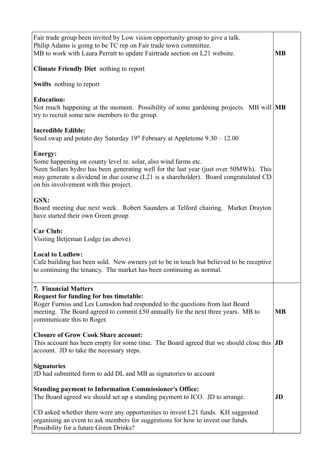| Fair trade group been invited by Low vision opportunity group to give a talk.<br>Philip Adams is going to be TC rep on Fair trade town committee.<br>MB to work with Laura Perratt to update Fairtrade section on L21 website.                                                                      | <b>MB</b>     |
|-----------------------------------------------------------------------------------------------------------------------------------------------------------------------------------------------------------------------------------------------------------------------------------------------------|---------------|
| <b>Climate Friendly Diet</b> nothing to report                                                                                                                                                                                                                                                      |               |
| <b>Swifts</b> nothing to report                                                                                                                                                                                                                                                                     |               |
| <b>Education:</b><br>Not much happening at the moment. Possibility of some gardening projects. MB will MB<br>try to recruit some new members to the group.                                                                                                                                          |               |
| <b>Incredible Edible:</b><br>Seed swap and potato day Saturday $19th$ February at Appleteme $9.30 - 12.00$                                                                                                                                                                                          |               |
| Energy:<br>Some happening on county level re. solar, also wind farms etc.<br>Neen Sollars hydro has been generating well for the last year (just over 50MWh). This<br>may generate a dividend in due course (L21 is a shareholder). Board congratulated CD<br>on his involvement with this project. |               |
| GSX:<br>Board meeting due next week. Robert Saunders at Telford chairing. Market Drayton<br>have started their own Green group                                                                                                                                                                      |               |
| <b>Car Club:</b><br>Visiting Betjeman Lodge (as above)                                                                                                                                                                                                                                              |               |
| <b>Local to Ludlow:</b><br>Cafe building has been sold. New owners yet to be in touch but believed to be receptive<br>to continuing the tenancy. The market has been continuing as normal.                                                                                                          |               |
| <b>7. Financial Matters</b><br>Request for funding for bus timetable:<br>Roger Furniss and Les Lumsdon had responded to the questions from last Board<br>meeting. The Board agreed to commit £50 annually for the next three years. MB to<br>communicate this to Roger.                             | <b>MB</b>     |
| <b>Closure of Grow Cook Share account:</b><br>This account has been empty for some time. The Board agreed that we should close this<br>account. JD to take the necessary steps.                                                                                                                     | $J\mathbf{D}$ |
| <b>Signatories</b><br>JD had submitted form to add DL and MB as signatories to account                                                                                                                                                                                                              |               |
| <b>Standing payment to Information Commissioner's Office:</b><br>The Board agreed we should set up a standing payment to ICO. JD to arrange.                                                                                                                                                        | JD            |
| CD asked whether there were any opportunities to invest L21 funds. KH suggested<br>organising an event to ask members for suggestions for how to invest our funds.<br>Possibility for a future Green Drinks?                                                                                        |               |